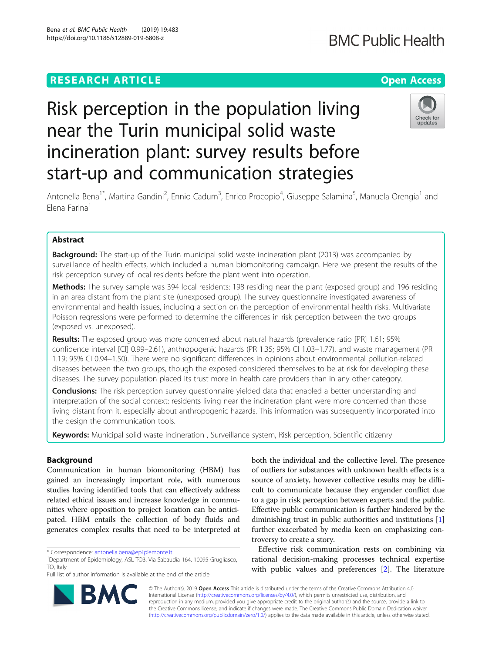#### Bena et al. BMC Public Health (2019) 19:483 https://doi.org/10.1186/s12889-019-6808-z

# **BMC Public Health**

# Check for undates

Antonella Bena<sup>1\*</sup>, Martina Gandini<sup>2</sup>, Ennio Cadum<sup>3</sup>, Enrico Procopio<sup>4</sup>, Giuseppe Salamina<sup>5</sup>, Manuela Orengia<sup>1</sup> and Elena Farina<sup>1</sup>

Risk perception in the population living

incineration plant: survey results before

start-up and communication strategies

near the Turin municipal solid waste

# Abstract

**Background:** The start-up of the Turin municipal solid waste incineration plant (2013) was accompanied by surveillance of health effects, which included a human biomonitoring campaign. Here we present the results of the risk perception survey of local residents before the plant went into operation.

Methods: The survey sample was 394 local residents: 198 residing near the plant (exposed group) and 196 residing in an area distant from the plant site (unexposed group). The survey questionnaire investigated awareness of environmental and health issues, including a section on the perception of environmental health risks. Multivariate Poisson regressions were performed to determine the differences in risk perception between the two groups (exposed vs. unexposed).

Results: The exposed group was more concerned about natural hazards (prevalence ratio [PR] 1.61; 95% confidence interval [CI] 0.99–2.61), anthropogenic hazards (PR 1.35; 95% CI 1.03–1.77), and waste management (PR 1.19; 95% CI 0.94–1.50). There were no significant differences in opinions about environmental pollution-related diseases between the two groups, though the exposed considered themselves to be at risk for developing these diseases. The survey population placed its trust more in health care providers than in any other category.

**Conclusions:** The risk perception survey questionnaire yielded data that enabled a better understanding and interpretation of the social context: residents living near the incineration plant were more concerned than those living distant from it, especially about anthropogenic hazards. This information was subsequently incorporated into the design the communication tools.

Keywords: Municipal solid waste incineration, Surveillance system, Risk perception, Scientific citizenry

# Background

Communication in human biomonitoring (HBM) has gained an increasingly important role, with numerous studies having identified tools that can effectively address related ethical issues and increase knowledge in communities where opposition to project location can be anticipated. HBM entails the collection of body fluids and generates complex results that need to be interpreted at both the individual and the collective level. The presence of outliers for substances with unknown health effects is a source of anxiety, however collective results may be difficult to communicate because they engender conflict due to a gap in risk perception between experts and the public. Effective public communication is further hindered by the diminishing trust in public authorities and institutions [[1](#page-8-0)] further exacerbated by media keen on emphasizing controversy to create a story.

Effective risk communication rests on combining via rational decision-making processes technical expertise with public values and preferences [\[2](#page-8-0)]. The literature

© The Author(s). 2019 **Open Access** This article is distributed under the terms of the Creative Commons Attribution 4.0 International License [\(http://creativecommons.org/licenses/by/4.0/](http://creativecommons.org/licenses/by/4.0/)), which permits unrestricted use, distribution, and reproduction in any medium, provided you give appropriate credit to the original author(s) and the source, provide a link to the Creative Commons license, and indicate if changes were made. The Creative Commons Public Domain Dedication waiver [\(http://creativecommons.org/publicdomain/zero/1.0/](http://creativecommons.org/publicdomain/zero/1.0/)) applies to the data made available in this article, unless otherwise stated.



<sup>\*</sup> Correspondence: [antonella.bena@epi.piemonte.it](mailto:antonella.bena@epi.piemonte.it) <sup>1</sup>

Department of Epidemiology, ASL TO3, Via Sabaudia 164, 10095 Grugliasco, TO, Italy

Full list of author information is available at the end of the article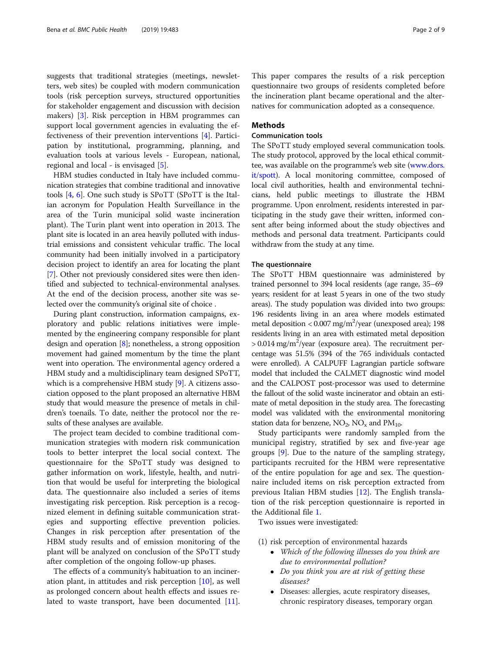suggests that traditional strategies (meetings, newsletters, web sites) be coupled with modern communication tools (risk perception surveys, structured opportunities for stakeholder engagement and discussion with decision makers) [[3\]](#page-8-0). Risk perception in HBM programmes can support local government agencies in evaluating the effectiveness of their prevention interventions [[4\]](#page-8-0). Participation by institutional, programming, planning, and evaluation tools at various levels - European, national, regional and local - is envisaged [[5\]](#page-8-0).

HBM studies conducted in Italy have included communication strategies that combine traditional and innovative tools [\[4](#page-8-0), [6](#page-8-0)]. One such study is SPoTT (SPoTT is the Italian acronym for Population Health Surveillance in the area of the Turin municipal solid waste incineration plant). The Turin plant went into operation in 2013. The plant site is located in an area heavily polluted with industrial emissions and consistent vehicular traffic. The local community had been initially involved in a participatory decision project to identify an area for locating the plant [[7\]](#page-8-0). Other not previously considered sites were then identified and subjected to technical-environmental analyses. At the end of the decision process, another site was selected over the community's original site of choice .

During plant construction, information campaigns, exploratory and public relations initiatives were implemented by the engineering company responsible for plant design and operation [\[8](#page-8-0)]; nonetheless, a strong opposition movement had gained momentum by the time the plant went into operation. The environmental agency ordered a HBM study and a multidisciplinary team designed SPoTT, which is a comprehensive HBM study [\[9\]](#page-8-0). A citizens association opposed to the plant proposed an alternative HBM study that would measure the presence of metals in children's toenails. To date, neither the protocol nor the results of these analyses are available.

The project team decided to combine traditional communication strategies with modern risk communication tools to better interpret the local social context. The questionnaire for the SPoTT study was designed to gather information on work, lifestyle, health, and nutrition that would be useful for interpreting the biological data. The questionnaire also included a series of items investigating risk perception. Risk perception is a recognized element in defining suitable communication strategies and supporting effective prevention policies. Changes in risk perception after presentation of the HBM study results and of emission monitoring of the plant will be analyzed on conclusion of the SPoTT study after completion of the ongoing follow-up phases.

The effects of a community's habituation to an incineration plant, in attitudes and risk perception [[10\]](#page-8-0), as well as prolonged concern about health effects and issues related to waste transport, have been documented [\[11](#page-8-0)]. This paper compares the results of a risk perception questionnaire two groups of residents completed before the incineration plant became operational and the alternatives for communication adopted as a consequence.

# Methods

## Communication tools

The SPoTT study employed several communication tools. The study protocol, approved by the local ethical committee, was available on the programme's web site ([www.dors.](http://www.dors.it/spott) [it/spott\)](http://www.dors.it/spott). A local monitoring committee, composed of local civil authorities, health and environmental technicians, held public meetings to illustrate the HBM programme. Upon enrolment, residents interested in participating in the study gave their written, informed consent after being informed about the study objectives and methods and personal data treatment. Participants could withdraw from the study at any time.

#### The questionnaire

The SPoTT HBM questionnaire was administered by trained personnel to 394 local residents (age range, 35–69 years; resident for at least 5 years in one of the two study areas). The study population was divided into two groups: 196 residents living in an area where models estimated metal deposition < 0.007 mg/m<sup>2</sup>/year (unexposed area); 198 residents living in an area with estimated metal deposition  $> 0.014$  mg/m<sup>2</sup>/year (exposure area). The recruitment percentage was 51.5% (394 of the 765 individuals contacted were enrolled). A CALPUFF Lagrangian particle software model that included the CALMET diagnostic wind model and the CALPOST post-processor was used to determine the fallout of the solid waste incinerator and obtain an estimate of metal deposition in the study area. The forecasting model was validated with the environmental monitoring station data for benzene,  $NO_2$ ,  $NO_x$  and  $PM_{10}$ .

Study participants were randomly sampled from the municipal registry, stratified by sex and five-year age groups [[9\]](#page-8-0). Due to the nature of the sampling strategy, participants recruited for the HBM were representative of the entire population for age and sex. The questionnaire included items on risk perception extracted from previous Italian HBM studies [[12\]](#page-8-0). The English translation of the risk perception questionnaire is reported in the Additional file [1.](#page-7-0)

Two issues were investigated:

- (1) risk perception of environmental hazards
	- Which of the following illnesses do you think are due to environmental pollution?
	- Do you think you are at risk of getting these diseases?
	- Diseases: allergies, acute respiratory diseases, chronic respiratory diseases, temporary organ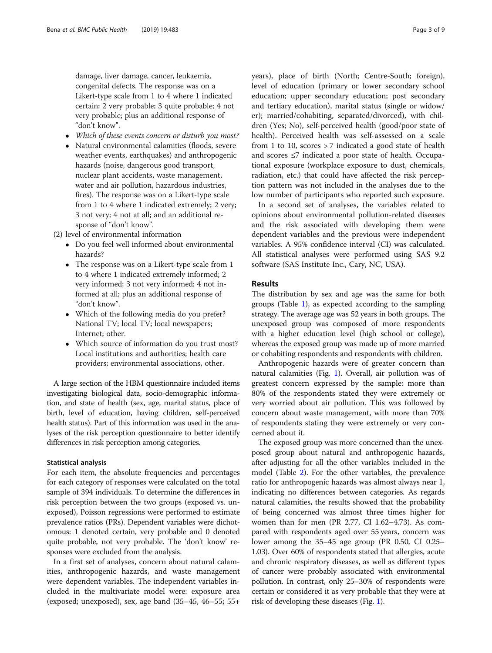damage, liver damage, cancer, leukaemia, congenital defects. The response was on a Likert-type scale from 1 to 4 where 1 indicated certain; 2 very probable; 3 quite probable; 4 not very probable; plus an additional response of "don't know".

- Which of these events concern or disturb you most?
- Natural environmental calamities (floods, severe weather events, earthquakes) and anthropogenic hazards (noise, dangerous good transport, nuclear plant accidents, waste management, water and air pollution, hazardous industries, fires). The response was on a Likert-type scale from 1 to 4 where 1 indicated extremely; 2 very; 3 not very; 4 not at all; and an additional response of "don't know".

(2) level of environmental information

- Do you feel well informed about environmental hazards?
- The response was on a Likert-type scale from 1 to 4 where 1 indicated extremely informed; 2 very informed; 3 not very informed; 4 not informed at all; plus an additional response of "don't know".
- Which of the following media do you prefer? National TV; local TV; local newspapers; Internet; other.
- Which source of information do you trust most? Local institutions and authorities; health care providers; environmental associations, other.

A large section of the HBM questionnaire included items investigating biological data, socio-demographic information, and state of health (sex, age, marital status, place of birth, level of education, having children, self-perceived health status). Part of this information was used in the analyses of the risk perception questionnaire to better identify differences in risk perception among categories.

### Statistical analysis

For each item, the absolute frequencies and percentages for each category of responses were calculated on the total sample of 394 individuals. To determine the differences in risk perception between the two groups (exposed vs. unexposed), Poisson regressions were performed to estimate prevalence ratios (PRs). Dependent variables were dichotomous: 1 denoted certain, very probable and 0 denoted quite probable, not very probable. The 'don't know' responses were excluded from the analysis.

In a first set of analyses, concern about natural calamities, anthropogenic hazards, and waste management were dependent variables. The independent variables included in the multivariate model were: exposure area (exposed; unexposed), sex, age band (35–45, 46–55; 55+ years), place of birth (North; Centre-South; foreign), level of education (primary or lower secondary school education; upper secondary education; post secondary and tertiary education), marital status (single or widow/ er); married/cohabiting, separated/divorced), with children (Yes; No), self-perceived health (good/poor state of health). Perceived health was self-assessed on a scale from 1 to 10, scores > 7 indicated a good state of health and scores ≤7 indicated a poor state of health. Occupational exposure (workplace exposure to dust, chemicals, radiation, etc.) that could have affected the risk perception pattern was not included in the analyses due to the low number of participants who reported such exposure.

In a second set of analyses, the variables related to opinions about environmental pollution-related diseases and the risk associated with developing them were dependent variables and the previous were independent variables. A 95% confidence interval (CI) was calculated. All statistical analyses were performed using SAS 9.2 software (SAS Institute Inc., Cary, NC, USA).

# Results

The distribution by sex and age was the same for both groups (Table [1\)](#page-3-0), as expected according to the sampling strategy. The average age was 52 years in both groups. The unexposed group was composed of more respondents with a higher education level (high school or college), whereas the exposed group was made up of more married or cohabiting respondents and respondents with children.

Anthropogenic hazards were of greater concern than natural calamities (Fig. [1](#page-4-0)). Overall, air pollution was of greatest concern expressed by the sample: more than 80% of the respondents stated they were extremely or very worried about air pollution. This was followed by concern about waste management, with more than 70% of respondents stating they were extremely or very concerned about it.

The exposed group was more concerned than the unexposed group about natural and anthropogenic hazards, after adjusting for all the other variables included in the model (Table [2\)](#page-5-0). For the other variables, the prevalence ratio for anthropogenic hazards was almost always near 1, indicating no differences between categories. As regards natural calamities, the results showed that the probability of being concerned was almost three times higher for women than for men (PR 2.77, CI 1.62–4.73). As compared with respondents aged over 55 years, concern was lower among the 35–45 age group (PR 0.50, CI 0.25– 1.03). Over 60% of respondents stated that allergies, acute and chronic respiratory diseases, as well as different types of cancer were probably associated with environmental pollution. In contrast, only 25–30% of respondents were certain or considered it as very probable that they were at risk of developing these diseases (Fig. [1\)](#page-4-0).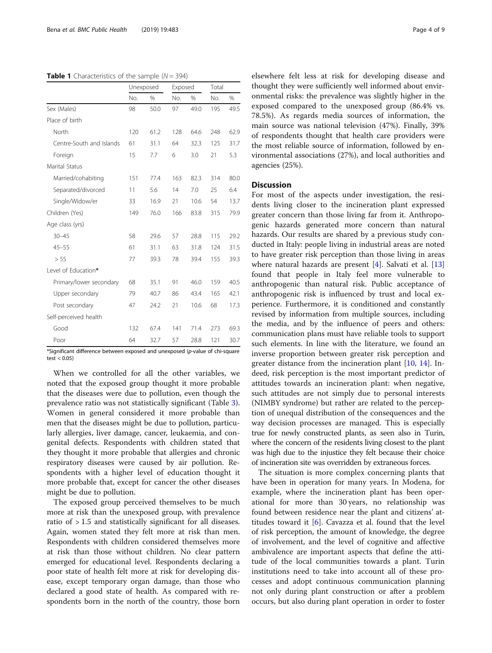#### <span id="page-3-0"></span>**Table 1** Characteristics of the sample  $(N = 394)$

|                          | Unexposed |               | Exposed |               | Total |      |
|--------------------------|-----------|---------------|---------|---------------|-------|------|
|                          | No.       | $\frac{0}{0}$ | No.     | $\frac{0}{0}$ | No.   | $\%$ |
| Sex (Males)              | 98        | 50.0          | 97      | 49.0          | 195   | 49.5 |
| Place of birth           |           |               |         |               |       |      |
| North                    | 120       | 61.2          | 128     | 64.6          | 248   | 62.9 |
| Centre-South and Islands | 61        | 31.1          | 64      | 32.3          | 125   | 31.7 |
| Foreign                  | 15        | 7.7           | 6       | 3.0           | 21    | 5.3  |
| Marital Status           |           |               |         |               |       |      |
| Married/cohabiting       | 151       | 77.4          | 163     | 82.3          | 314   | 80.0 |
| Separated/divorced       | 11        | 5.6           | 14      | 7.0           | 25    | 6.4  |
| Single/Widow/er          | 33        | 16.9          | 21      | 10.6          | 54    | 13.7 |
| Children (Yes)           | 149       | 76.0          | 166     | 83.8          | 315   | 79.9 |
| Age class (yrs)          |           |               |         |               |       |      |
| $30 - 45$                | 58        | 29.6          | 57      | 28.8          | 115   | 29.2 |
| $45 - 55$                | 61        | 31.1          | 63      | 31.8          | 124   | 31.5 |
| > 55                     | 77        | 39.3          | 78      | 39.4          | 155   | 39.3 |
| Level of Education*      |           |               |         |               |       |      |
| Primary/lower secondary  | 68        | 35.1          | 91      | 46.0          | 159   | 40.5 |
| Upper secondary          | 79        | 40.7          | 86      | 43.4          | 165   | 42.1 |
| Post secondary           | 47        | 24.2          | 21      | 10.6          | 68    | 17.3 |
| Self-perceived health    |           |               |         |               |       |      |
| Good                     | 132       | 67.4          | 141     | 71.4          | 273   | 69.3 |
| Poor                     | 64        | 32.7          | 57      | 28.8          | 121   | 30.7 |

 $\mathrm{s}$ ignificant difference between exposed and unexposed ( $p$ -value of chi-square test  $< 0.05$ )

When we controlled for all the other variables, we noted that the exposed group thought it more probable that the diseases were due to pollution, even though the prevalence ratio was not statistically significant (Table [3](#page-6-0)). Women in general considered it more probable than men that the diseases might be due to pollution, particularly allergies, liver damage, cancer, leukaemia, and congenital defects. Respondents with children stated that they thought it more probable that allergies and chronic respiratory diseases were caused by air pollution. Respondents with a higher level of education thought it more probable that, except for cancer the other diseases might be due to pollution.

The exposed group perceived themselves to be much more at risk than the unexposed group, with prevalence ratio of > 1.5 and statistically significant for all diseases. Again, women stated they felt more at risk than men. Respondents with children considered themselves more at risk than those without children. No clear pattern emerged for educational level. Respondents declaring a poor state of health felt more at risk for developing disease, except temporary organ damage, than those who declared a good state of health. As compared with respondents born in the north of the country, those born elsewhere felt less at risk for developing disease and thought they were sufficiently well informed about environmental risks: the prevalence was slightly higher in the exposed compared to the unexposed group (86.4% vs. 78.5%). As regards media sources of information, the main source was national television (47%). Finally, 39% of respondents thought that health care providers were the most reliable source of information, followed by environmental associations (27%), and local authorities and agencies (25%).

# **Discussion**

For most of the aspects under investigation, the residents living closer to the incineration plant expressed greater concern than those living far from it. Anthropogenic hazards generated more concern than natural hazards. Our results are shared by a previous study conducted in Italy: people living in industrial areas are noted to have greater risk perception than those living in areas where natural hazards are present [[4\]](#page-8-0). Salvati et al. [[13](#page-8-0)] found that people in Italy feel more vulnerable to anthropogenic than natural risk. Public acceptance of anthropogenic risk is influenced by trust and local experience. Furthermore, it is conditioned and constantly revised by information from multiple sources, including the media, and by the influence of peers and others: communication plans must have reliable tools to support such elements. In line with the literature, we found an inverse proportion between greater risk perception and greater distance from the incineration plant [\[10](#page-8-0), [14\]](#page-8-0). Indeed, risk perception is the most important predictor of attitudes towards an incineration plant: when negative, such attitudes are not simply due to personal interests (NIMBY syndrome) but rather are related to the perception of unequal distribution of the consequences and the way decision processes are managed. This is especially true for newly constructed plants, as seen also in Turin, where the concern of the residents living closest to the plant was high due to the injustice they felt because their choice of incineration site was overridden by extraneous forces.

The situation is more complex concerning plants that have been in operation for many years. In Modena, for example, where the incineration plant has been operational for more than 30 years, no relationship was found between residence near the plant and citizens' attitudes toward it  $[6]$  $[6]$ . Cavazza et al. found that the level of risk perception, the amount of knowledge, the degree of involvement, and the level of cognitive and affective ambivalence are important aspects that define the attitude of the local communities towards a plant. Turin institutions need to take into account all of these processes and adopt continuous communication planning not only during plant construction or after a problem occurs, but also during plant operation in order to foster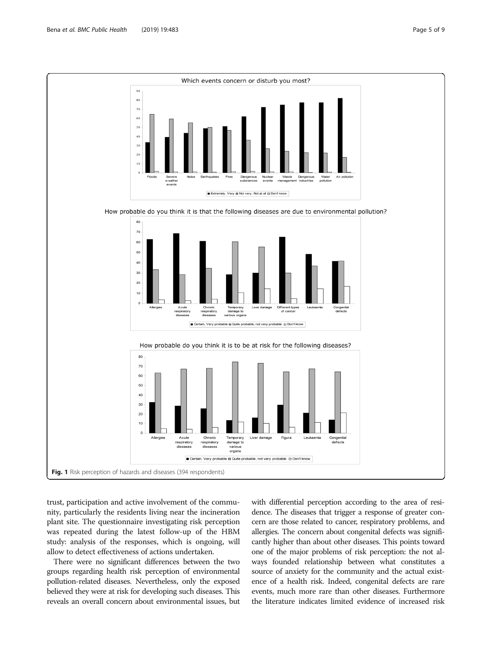<span id="page-4-0"></span>

trust, participation and active involvement of the community, particularly the residents living near the incineration plant site. The questionnaire investigating risk perception was repeated during the latest follow-up of the HBM study: analysis of the responses, which is ongoing, will allow to detect effectiveness of actions undertaken.

There were no significant differences between the two groups regarding health risk perception of environmental pollution-related diseases. Nevertheless, only the exposed believed they were at risk for developing such diseases. This reveals an overall concern about environmental issues, but with differential perception according to the area of residence. The diseases that trigger a response of greater concern are those related to cancer, respiratory problems, and allergies. The concern about congenital defects was significantly higher than about other diseases. This points toward one of the major problems of risk perception: the not always founded relationship between what constitutes a source of anxiety for the community and the actual existence of a health risk. Indeed, congenital defects are rare events, much more rare than other diseases. Furthermore the literature indicates limited evidence of increased risk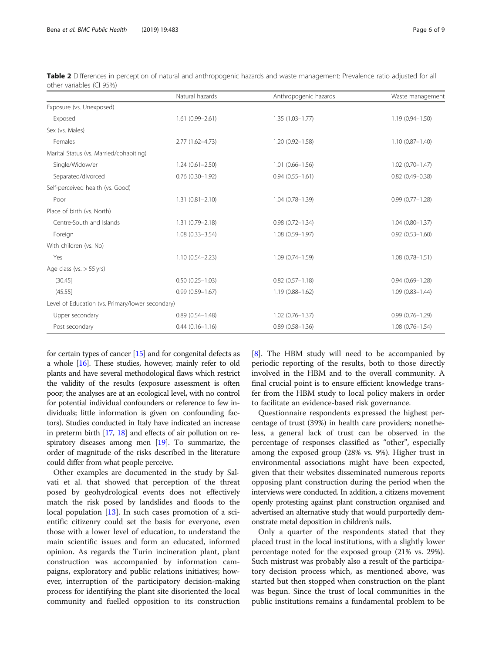|                                                  | Natural hazards     | Anthropogenic hazards | Waste management    |
|--------------------------------------------------|---------------------|-----------------------|---------------------|
| Exposure (vs. Unexposed)                         |                     |                       |                     |
| Exposed                                          | $1.61(0.99 - 2.61)$ | $1.35(1.03 - 1.77)$   | $1.19(0.94 - 1.50)$ |
| Sex (vs. Males)                                  |                     |                       |                     |
| Females                                          | $2.77(1.62 - 4.73)$ | $1.20(0.92 - 1.58)$   | $1.10(0.87 - 1.40)$ |
| Marital Status (vs. Married/cohabiting)          |                     |                       |                     |
| Single/Widow/er                                  | $1.24(0.61 - 2.50)$ | $1.01(0.66 - 1.56)$   | $1.02(0.70 - 1.47)$ |
| Separated/divorced                               | $0.76(0.30 - 1.92)$ | $0.94(0.55 - 1.61)$   | $0.82$ (0.49-0.38)  |
| Self-perceived health (vs. Good)                 |                     |                       |                     |
| Poor                                             | $1.31(0.81 - 2.10)$ | $1.04(0.78 - 1.39)$   | $0.99(0.77 - 1.28)$ |
| Place of birth (vs. North)                       |                     |                       |                     |
| Centre-South and Islands                         | $1.31(0.79 - 2.18)$ | $0.98(0.72 - 1.34)$   | $1.04(0.80 - 1.37)$ |
| Foreign                                          | $1.08(0.33 - 3.54)$ | $1.08(0.59 - 1.97)$   | $0.92(0.53 - 1.60)$ |
| With children (vs. No)                           |                     |                       |                     |
| Yes                                              | $1.10(0.54 - 2.23)$ | $1.09(0.74 - 1.59)$   | $1.08(0.78 - 1.51)$ |
| Age class (vs. $> 55$ yrs)                       |                     |                       |                     |
| (30.45)                                          | $0.50(0.25 - 1.03)$ | $0.82(0.57 - 1.18)$   | $0.94(0.69 - 1.28)$ |
| (45.55)                                          | $0.99(0.59 - 1.67)$ | $1.19(0.88 - 1.62)$   | $1.09(0.83 - 1.44)$ |
| Level of Education (vs. Primary/lower secondary) |                     |                       |                     |
| Upper secondary                                  | $0.89(0.54 - 1.48)$ | $1.02(0.76 - 1.37)$   | $0.99(0.76 - 1.29)$ |
| Post secondary                                   | $0.44(0.16 - 1.16)$ | $0.89(0.58 - 1.36)$   | $1.08(0.76 - 1.54)$ |

<span id="page-5-0"></span>Table 2 Differences in perception of natural and anthropogenic hazards and waste management: Prevalence ratio adjusted for all other variables (CI 95%)

for certain types of cancer  $[15]$  $[15]$  and for congenital defects as a whole [\[16\]](#page-8-0). These studies, however, mainly refer to old plants and have several methodological flaws which restrict the validity of the results (exposure assessment is often poor; the analyses are at an ecological level, with no control for potential individual confounders or reference to few individuals; little information is given on confounding factors). Studies conducted in Italy have indicated an increase in preterm birth [\[17,](#page-8-0) [18](#page-8-0)] and effects of air pollution on respiratory diseases among men [\[19](#page-8-0)]. To summarize, the order of magnitude of the risks described in the literature could differ from what people perceive.

Other examples are documented in the study by Salvati et al. that showed that perception of the threat posed by geohydrological events does not effectively match the risk posed by landslides and floods to the local population [\[13](#page-8-0)]. In such cases promotion of a scientific citizenry could set the basis for everyone, even those with a lower level of education, to understand the main scientific issues and form an educated, informed opinion. As regards the Turin incineration plant, plant construction was accompanied by information campaigns, exploratory and public relations initiatives; however, interruption of the participatory decision-making process for identifying the plant site disoriented the local community and fuelled opposition to its construction [[8\]](#page-8-0). The HBM study will need to be accompanied by periodic reporting of the results, both to those directly involved in the HBM and to the overall community. A final crucial point is to ensure efficient knowledge transfer from the HBM study to local policy makers in order to facilitate an evidence-based risk governance.

Questionnaire respondents expressed the highest percentage of trust (39%) in health care providers; nonetheless, a general lack of trust can be observed in the percentage of responses classified as "other", especially among the exposed group (28% vs. 9%). Higher trust in environmental associations might have been expected, given that their websites disseminated numerous reports opposing plant construction during the period when the interviews were conducted. In addition, a citizens movement openly protesting against plant construction organised and advertised an alternative study that would purportedly demonstrate metal deposition in children's nails.

Only a quarter of the respondents stated that they placed trust in the local institutions, with a slightly lower percentage noted for the exposed group (21% vs. 29%). Such mistrust was probably also a result of the participatory decision process which, as mentioned above, was started but then stopped when construction on the plant was begun. Since the trust of local communities in the public institutions remains a fundamental problem to be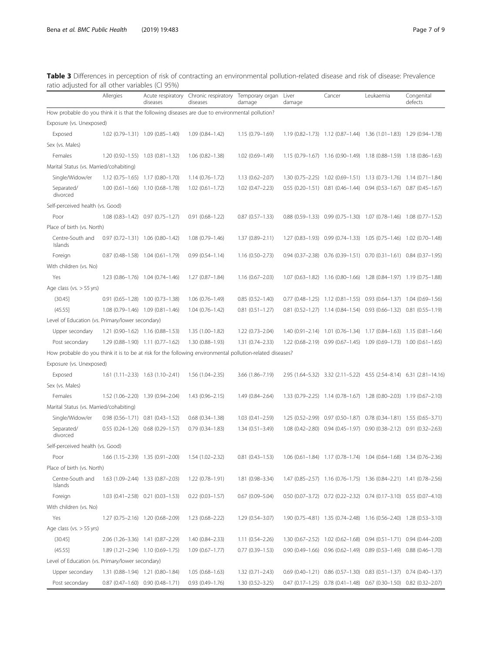| Page / of |  |
|-----------|--|
|           |  |

<span id="page-6-0"></span>

| Table 3 Differences in perception of risk of contracting an environmental pollution-related disease and risk of disease: Prevalence |  |  |
|-------------------------------------------------------------------------------------------------------------------------------------|--|--|
| ratio adjusted for all other variables (CI 95%)                                                                                     |  |  |

| and dajasted for all other variables (er ss70)                                                            | Allergies | Acute respiratory<br>diseases                 | Chronic respiratory Temporary organ Liver<br>diseases | damage                 | damage | Cancer                                                                        | Leukaemia | Congenital<br>defects                                                |
|-----------------------------------------------------------------------------------------------------------|-----------|-----------------------------------------------|-------------------------------------------------------|------------------------|--------|-------------------------------------------------------------------------------|-----------|----------------------------------------------------------------------|
| How probable do you think it is that the following diseases are due to environmental pollution?           |           |                                               |                                                       |                        |        |                                                                               |           |                                                                      |
| Exposure (vs. Unexposed)                                                                                  |           |                                               |                                                       |                        |        |                                                                               |           |                                                                      |
| Exposed                                                                                                   |           | 1.02 (0.79-1.31) 1.09 (0.85-1.40)             | $1.09(0.84 - 1.42)$                                   | 1.15 (0.79-1.69)       |        | 1.19 (0.82-1.73) 1.12 (0.87-1.44) 1.36 (1.01-1.83) 1.29 (0.94-1.78)           |           |                                                                      |
| Sex (vs. Males)                                                                                           |           |                                               |                                                       |                        |        |                                                                               |           |                                                                      |
| Females                                                                                                   |           | $1.20(0.92-1.55)$ $1.03(0.81-1.32)$           | $1.06(0.82 - 1.38)$                                   | $1.02(0.69 - 1.49)$    |        | 1.15 (0.79-1.67) 1.16 (0.90-1.49) 1.18 (0.88-1.59) 1.18 (0.86-1.63)           |           |                                                                      |
| Marital Status (vs. Married/cohabiting)                                                                   |           |                                               |                                                       |                        |        |                                                                               |           |                                                                      |
| Single/Widow/er                                                                                           |           | $1.12$ (0.75-1.65) $1.17$ (0.80-1.70)         | $1.14(0.76 - 1.72)$                                   | $1.13(0.62 - 2.07)$    |        | 1.30 (0.75-2.25) 1.02 (0.69-1.51) 1.13 (0.73-1.76) 1.14 (0.71-1.84)           |           |                                                                      |
| Separated/<br>divorced                                                                                    |           | $1.00$ (0.61-1.66) $1.10$ (0.68-1.78)         | $1.02(0.61 - 1.72)$                                   | $1.02$ $(0.47 - 2.23)$ |        | $0.55$ (0.20-1.51) $0.81$ (0.46-1.44) $0.94$ (0.53-1.67) $0.87$ (0.45-1.67)   |           |                                                                      |
| Self-perceived health (vs. Good)                                                                          |           |                                               |                                                       |                        |        |                                                                               |           |                                                                      |
| Poor                                                                                                      |           | $1.08$ (0.83-1.42) 0.97 (0.75-1.27)           | $0.91(0.68 - 1.22)$                                   | $0.87$ $(0.57 - 1.33)$ |        | $0.88$ (0.59-1.33) $0.99$ (0.75-1.30) 1.07 (0.78-1.46) 1.08 (0.77-1.52)       |           |                                                                      |
| Place of birth (vs. North)                                                                                |           |                                               |                                                       |                        |        |                                                                               |           |                                                                      |
| Centre-South and<br>Islands                                                                               |           | $0.97$ $(0.72-1.31)$ 1.06 $(0.80-1.42)$       | $1.08(0.79 - 1.46)$                                   | 1.37 (0.89-2.11)       |        | 1.27 (0.83-1.93) 0.99 (0.74-1.33) 1.05 (0.75-1.46) 1.02 (0.70-1.48)           |           |                                                                      |
| Foreign                                                                                                   |           | $0.87$ $(0.48 - 1.58)$ 1.04 $(0.61 - 1.79)$   | $0.99(0.54 - 1.14)$                                   | $1.16(0.50 - 2.73)$    |        | 0.94 (0.37-2.38) 0.76 (0.39-1.51) 0.70 (0.31-1.61) 0.84 (0.37-1.95)           |           |                                                                      |
| With children (vs. No)                                                                                    |           |                                               |                                                       |                        |        |                                                                               |           |                                                                      |
| Yes                                                                                                       |           | 1.23 (0.86-1.76) 1.04 (0.74-1.46)             | $1.27(0.87 - 1.84)$                                   | $1.16(0.67 - 2.03)$    |        | 1.07 (0.63-1.82) 1.16 (0.80-1.66) 1.28 (0.84-1.97) 1.19 (0.75-1.88)           |           |                                                                      |
| Age class ( $vs. > 55$ yrs)                                                                               |           |                                               |                                                       |                        |        |                                                                               |           |                                                                      |
| (30.45)                                                                                                   |           | $0.91$ $(0.65 - 1.28)$ 1.00 $(0.73 - 1.38)$   | $1.06(0.76 - 1.49)$                                   | $0.85(0.52 - 1.40)$    |        | $0.77$ $(0.48-1.25)$ 1.12 $(0.81-1.55)$ 0.93 $(0.64-1.37)$ 1.04 $(0.69-1.56)$ |           |                                                                      |
| (45.55)                                                                                                   |           | $1.08$ (0.79-1.46) $1.09$ (0.81-1.46)         | $1.04(0.76 - 1.42)$                                   | $0.81$ $(0.51 - 1.27)$ |        | $0.81$ $(0.52-1.27)$ 1.14 $(0.84-1.54)$ 0.93 $(0.66-1.32)$ 0.81 $(0.55-1.19)$ |           |                                                                      |
| Level of Education (vs. Primary/lower secondary)                                                          |           |                                               |                                                       |                        |        |                                                                               |           |                                                                      |
| Upper secondary                                                                                           |           | $1.21$ (0.90-1.62) $1.16$ (0.88-1.53)         | $1.35(1.00-1.82)$                                     | 1.22 (0.73-2.04)       |        | 1.40 (0.91-2.14) 1.01 (0.76-1.34) 1.17 (0.84-1.63) 1.15 (0.81-1.64)           |           |                                                                      |
| Post secondary                                                                                            |           | 1.29 (0.88-1.90) 1.11 (0.77-1.62)             | $1.30(0.88 - 1.93)$                                   | 1.31 (0.74-2.33)       |        | 1.22 (0.68-2.19) 0.99 (0.67-1.45) 1.09 (0.69-1.73) 1.00 (0.61-1.65)           |           |                                                                      |
| How probable do you think it is to be at risk for the following environmental pollution-related diseases? |           |                                               |                                                       |                        |        |                                                                               |           |                                                                      |
| Exposure (vs. Unexposed)                                                                                  |           |                                               |                                                       |                        |        |                                                                               |           |                                                                      |
| Exposed                                                                                                   |           | $1.61$ $(1.11-2.33)$ $1.63$ $(1.10-2.41)$     | $1.56(1.04 - 2.35)$                                   | 3.66 (1.86-7.19)       |        |                                                                               |           | 2.95 (1.64-5.32) 3.32 (2.11-5.22) 4.55 (2.54-8.14) 6.31 (2.81-14.16) |
| Sex (vs. Males)                                                                                           |           |                                               |                                                       |                        |        |                                                                               |           |                                                                      |
| Females                                                                                                   |           | 1.52 (1.06-2.20) 1.39 (0.94-2.04)             | $1.43(0.96 - 2.15)$                                   | 1.49 (0.84-2.64)       |        | 1.33 (0.79-2.25) 1.14 (0.78-1.67) 1.28 (0.80-2.03) 1.19 (0.67-2.10)           |           |                                                                      |
| Marital Status (vs. Married/cohabiting)                                                                   |           |                                               |                                                       |                        |        |                                                                               |           |                                                                      |
| Single/Widow/er                                                                                           |           | $0.98$ $(0.56-1.71)$ $0.81$ $(0.43-1.52)$     | $0.68$ $(0.34 - 1.38)$                                | $1.03(0.41 - 2.59)$    |        | 1.25 (0.52-2.99) 0.97 (0.50-1.87) 0.78 (0.34-1.81) 1.55 (0.65-3.71)           |           |                                                                      |
| Separated/<br>divorced                                                                                    |           | $0.55$ $(0.24 - 1.26)$ $0.68$ $(0.29 - 1.57)$ | $0.79(0.34 - 1.83)$                                   | $1.34(0.51 - 3.49)$    |        | 1.08 (0.42-2.80) 0.94 (0.45-1.97) 0.90 (0.38-2.12) 0.91 (0.32-2.63)           |           |                                                                      |
| Self-perceived health (vs. Good)                                                                          |           |                                               |                                                       |                        |        |                                                                               |           |                                                                      |
| Poor                                                                                                      |           | 1.66 (1.15–2.39) 1.35 (0.91–2.00)             | 1.54 (1.02-2.32)                                      | $0.81$ $(0.43 - 1.53)$ |        | 1.06 (0.61-1.84) 1.17 (0.78-1.74) 1.04 (0.64-1.68) 1.34 (0.76-2.36)           |           |                                                                      |
| Place of birth (vs. North)                                                                                |           |                                               |                                                       |                        |        |                                                                               |           |                                                                      |
| Centre-South and<br>Islands                                                                               |           | 1.63 (1.09-2.44) 1.33 (0.87-2.03)             | 1.22 (0.78-1.91)                                      | 1.81 (0.98-3.34)       |        | 1.47 (0.85-2.57) 1.16 (0.76-1.75) 1.36 (0.84-2.21) 1.41 (0.78-2.56)           |           |                                                                      |
| Foreign                                                                                                   |           | $1.03$ $(0.41 - 2.58)$ 0.21 $(0.03 - 1.53)$   | $0.22$ (0.03-1.57)                                    | $0.67$ (0.09-5.04)     |        | $0.50$ (0.07-3.72) $0.72$ (0.22-2.32) $0.74$ (0.17-3.10) $0.55$ (0.07-4.10)   |           |                                                                      |
| With children (vs. No)                                                                                    |           |                                               |                                                       |                        |        |                                                                               |           |                                                                      |
| Yes                                                                                                       |           | 1.27 (0.75-2.16) 1.20 (0.68-2.09)             | $1.23(0.68 - 2.22)$                                   | 1.29 (0.54-3.07)       |        | 1.90 (0.75-4.81) 1.35 (0.74-2.48) 1.16 (0.56-2.40) 1.28 (0.53-3.10)           |           |                                                                      |
| Age class ( $vs. > 55$ yrs)                                                                               |           |                                               |                                                       |                        |        |                                                                               |           |                                                                      |
| (30.45)                                                                                                   |           | 2.06 (1.26-3.36) 1.41 (0.87-2.29)             | 1.40 (0.84-2.33)                                      | 1.11 (0.54-2.26)       |        | 1.30 (0.67-2.52) 1.02 (0.62-1.68) 0.94 (0.51-1.71) 0.94 (0.44-2.00)           |           |                                                                      |
| (45.55)                                                                                                   |           | 1.89 (1.21-2.94) 1.10 (0.69-1.75)             | $1.09(0.67 - 1.77)$                                   | $0.77$ $(0.39 - 1.53)$ |        | $0.90$ (0.49-1.66) $0.96$ (0.62-1.49) $0.89$ (0.53-1.49) $0.88$ (0.46-1.70)   |           |                                                                      |
| Level of Education (vs. Primary/lower secondary)                                                          |           |                                               |                                                       |                        |        |                                                                               |           |                                                                      |
| Upper secondary                                                                                           |           | 1.31 (0.88-1.94) 1.21 (0.80-1.84)             | $1.05(0.68 - 1.63)$                                   | $1.32(0.71 - 2.43)$    |        | $0.69$ (0.40-1.21) $0.86$ (0.57-1.30) $0.83$ (0.51-1.37) $0.74$ (0.40-1.37)   |           |                                                                      |
| Post secondary                                                                                            |           | $0.87$ $(0.47-1.60)$ $0.90$ $(0.48-1.71)$     | $0.93(0.49 - 1.76)$                                   | $1.30(0.52 - 3.25)$    |        | $0.47$ (0.17-1.25) $0.78$ (0.41-1.48) $0.67$ (0.30-1.50) $0.82$ (0.32-2.07)   |           |                                                                      |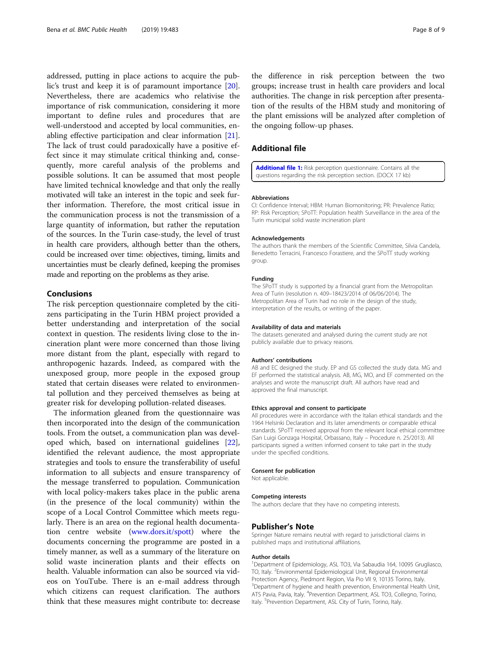<span id="page-7-0"></span>addressed, putting in place actions to acquire the public's trust and keep it is of paramount importance [\[20](#page-8-0)]. Nevertheless, there are academics who relativise the importance of risk communication, considering it more important to define rules and procedures that are well-understood and accepted by local communities, enabling effective participation and clear information [\[21](#page-8-0)]. The lack of trust could paradoxically have a positive effect since it may stimulate critical thinking and, consequently, more careful analysis of the problems and possible solutions. It can be assumed that most people have limited technical knowledge and that only the really motivated will take an interest in the topic and seek further information. Therefore, the most critical issue in the communication process is not the transmission of a large quantity of information, but rather the reputation of the sources. In the Turin case-study, the level of trust in health care providers, although better than the others, could be increased over time: objectives, timing, limits and uncertainties must be clearly defined, keeping the promises made and reporting on the problems as they arise.

### Conclusions

The risk perception questionnaire completed by the citizens participating in the Turin HBM project provided a better understanding and interpretation of the social context in question. The residents living close to the incineration plant were more concerned than those living more distant from the plant, especially with regard to anthropogenic hazards. Indeed, as compared with the unexposed group, more people in the exposed group stated that certain diseases were related to environmental pollution and they perceived themselves as being at greater risk for developing pollution-related diseases.

The information gleaned from the questionnaire was then incorporated into the design of the communication tools. From the outset, a communication plan was developed which, based on international guidelines [\[22](#page-8-0)], identified the relevant audience, the most appropriate strategies and tools to ensure the transferability of useful information to all subjects and ensure transparency of the message transferred to population. Communication with local policy-makers takes place in the public arena (in the presence of the local community) within the scope of a Local Control Committee which meets regularly. There is an area on the regional health documentation centre website [\(www.dors.it/spott\)](http://www.dors.it/spott) where the documents concerning the programme are posted in a timely manner, as well as a summary of the literature on solid waste incineration plants and their effects on health. Valuable information can also be sourced via videos on YouTube. There is an e-mail address through which citizens can request clarification. The authors think that these measures might contribute to: decrease

the difference in risk perception between the two groups; increase trust in health care providers and local authorities. The change in risk perception after presentation of the results of the HBM study and monitoring of the plant emissions will be analyzed after completion of the ongoing follow-up phases.

# Additional file

[Additional file 1:](https://doi.org/10.1186/s12889-019-6808-z) Risk perception questionnaire. Contains all the questions regarding the risk perception section. (DOCX 17 kb)

#### Abbreviations

CI: Confidence Interval; HBM: Human Biomonitoring; PR: Prevalence Ratio; RP: Risk Perception; SPoTT: Population health Surveillance in the area of the Turin municipal solid waste incineration plant

#### Acknowledgements

The authors thank the members of the Scientific Committee, Silvia Candela, Benedetto Terracini, Francesco Forastiere, and the SPoTT study working group.

#### Funding

The SPoTT study is supported by a financial grant from the Metropolitan Area of Turin (resolution n. 409–18423/2014 of 06/06/2014). The Metropolitan Area of Turin had no role in the design of the study, interpretation of the results, or writing of the paper.

#### Availability of data and materials

The datasets generated and analysed during the current study are not publicly available due to privacy reasons.

#### Authors' contributions

AB and EC designed the study. EP and GS collected the study data. MG and EF performed the statistical analysis. AB, MG, MO, and EF commented on the analyses and wrote the manuscript draft. All authors have read and approved the final manuscript.

#### Ethics approval and consent to participate

All procedures were in accordance with the Italian ethical standards and the 1964 Helsinki Declaration and its later amendments or comparable ethical standards. SPoTT received approval from the relevant local ethical committee (San Luigi Gonzaga Hospital, Orbassano, Italy – Procedure n. 25/2013). All participants signed a written informed consent to take part in the study under the specified conditions.

#### Consent for publication

Not applicable.

### Competing interests

The authors declare that they have no competing interests.

#### Publisher's Note

Springer Nature remains neutral with regard to jurisdictional claims in published maps and institutional affiliations.

#### Author details

<sup>1</sup>Department of Epidemiology, ASL TO3, Via Sabaudia 164, 10095 Grugliasco, TO, Italy. <sup>2</sup> Environmental Epidemiological Unit, Regional Environmental Protection Agency, Piedmont Region, Via Pio VII 9, 10135 Torino, Italy. <sup>3</sup>Department of hygiene and health prevention, Environmental Health Unit, ATS Pavia, Pavia, Italy. <sup>4</sup>Prevention Department, ASL TO3, Collegno, Torino, Italy. <sup>5</sup>Prevention Department, ASL City of Turin, Torino, Italy.